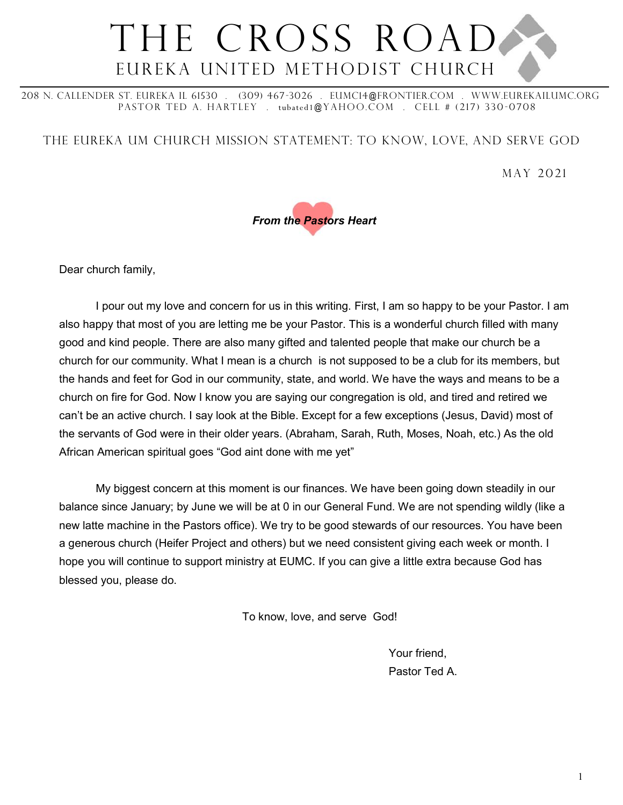### THE CROSS ROAD Eureka United Methodist Church

208 N. Callender St. Eureka IL 61530 . (309) 467-3026 . eumc14@frontier.com . WWw.eurekailumc.org PASTOR TED A. HARTLEY . tubated1@YAHOO.COM . CELL # (217) 330-0708

The Eureka UM church Mission Statement: To Know, Love, and Serve God

May 2021



Dear church family,

I pour out my love and concern for us in this writing. First, I am so happy to be your Pastor. I am also happy that most of you are letting me be your Pastor. This is a wonderful church filled with many good and kind people. There are also many gifted and talented people that make our church be a church for our community. What I mean is a church is not supposed to be a club for its members, but the hands and feet for God in our community, state, and world. We have the ways and means to be a church on fire for God. Now I know you are saying our congregation is old, and tired and retired we can't be an active church. I say look at the Bible. Except for a few exceptions (Jesus, David) most of the servants of God were in their older years. (Abraham, Sarah, Ruth, Moses, Noah, etc.) As the old African American spiritual goes "God aint done with me yet"

My biggest concern at this moment is our finances. We have been going down steadily in our balance since January; by June we will be at 0 in our General Fund. We are not spending wildly (like a new latte machine in the Pastors office). We try to be good stewards of our resources. You have been a generous church (Heifer Project and others) but we need consistent giving each week or month. I hope you will continue to support ministry at EUMC. If you can give a little extra because God has blessed you, please do.

To know, love, and serve God!

Your friend, Pastor Ted A.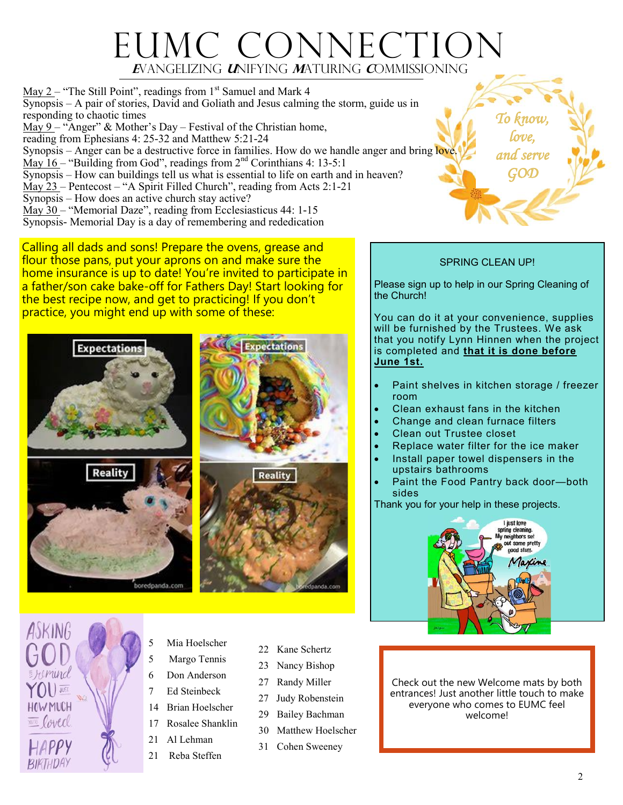### EUMC CONNECTION  **E**vangelizing **U**nifying **M**aturing **C**ommissioning

May  $2$  – "The Still Point", readings from  $1<sup>st</sup>$  Samuel and Mark 4 Synopsis – A pair of stories, David and Goliath and Jesus calming the storm, guide us in responding to chaotic times  $\overline{\text{May 9}}$  – "Anger" & Mother's Day – Festival of the Christian home, reading from Ephesians 4: 25-32 and Matthew 5:21-24 Synopsis – Anger can be a destructive force in families. How do we handle anger and bring love. May  $16$  – "Building from God", readings from  $2<sup>nd</sup>$  Corinthians 4: 13-5:1 Synopsis – How can buildings tell us what is essential to life on earth and in heaven? May 23 – Pentecost – "A Spirit Filled Church", reading from Acts 2:1-21 Synopsis – How does an active church stay active? May 30 – "Memorial Daze", reading from Ecclesiasticus 44: 1-15 Synopsis- Memorial Day is a day of remembering and rededication

Calling all dads and sons! Prepare the ovens, grease and flour those pans, put your aprons on and make sure the home insurance is up to date! You're invited to participate in a father/son cake bake-off for Fathers Day! Start looking for the best recipe now, and get to practicing! If you don't practice, you might end up with some of these:





- Mia Hoelscher
- 5 Margo Tennis
- 6 Don Anderson
- 7 Ed Steinbeck
- 14 Brian Hoelscher
- 17 Rosalee Shanklin
- 21 Al Lehman
- 21 Reba Steffen
- 22 Kane Schertz
- 23 Nancy Bishop
- 27 Randy Miller
- 27 Judy Robenstein
- 29 Bailey Bachman
- 30 Matthew Hoelscher
- 31 Cohen Sweeney

#### SPRING CLEAN UP!

*To know, love,* 

*and serve GOD* 

Please sign up to help in our Spring Cleaning of the Church!

You can do it at your convenience, supplies will be furnished by the Trustees. We ask that you notify Lynn Hinnen when the project is completed and **that it is done before June 1st.** 

- Paint shelves in kitchen storage / freezer room
- Clean exhaust fans in the kitchen
- Change and clean furnace filters
- Clean out Trustee closet
- Replace water filter for the ice maker
- Install paper towel dispensers in the upstairs bathrooms
- Paint the Food Pantry back door-both sides

Thank you for your help in these projects.



Check out the new Welcome mats by both entrances! Just another little touch to make everyone who comes to EUMC feel welcome!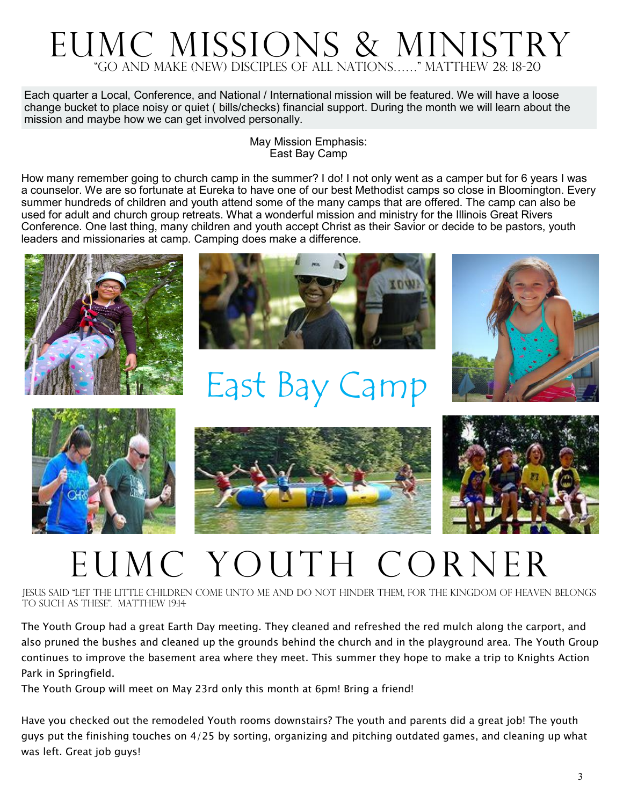### "Go and make (new) disciples of all nations……" Matthew 28: 18-20 EUMC Missions & Ministry

Each quarter a Local, Conference, and National / International mission will be featured. We will have a loose change bucket to place noisy or quiet ( bills/checks) financial support. During the month we will learn about the mission and maybe how we can get involved personally.

#### May Mission Emphasis: East Bay Camp

How many remember going to church camp in the summer? I do! I not only went as a camper but for 6 years I was a counselor. We are so fortunate at Eureka to have one of our best Methodist camps so close in Bloomington. Every summer hundreds of children and youth attend some of the many camps that are offered. The camp can also be used for adult and church group retreats. What a wonderful mission and ministry for the Illinois Great Rivers Conference. One last thing, many children and youth accept Christ as their Savior or decide to be pastors, youth leaders and missionaries at camp. Camping does make a difference.





# East Bay Camp









## EUMC Youth Corner

Jesus said "Let the little children come unto me and do not hinder them, for the kingdom of heaven belongs to such as these". Matthew 19:14

The Youth Group had a great Earth Day meeting. They cleaned and refreshed the red mulch along the carport, and also pruned the bushes and cleaned up the grounds behind the church and in the playground area. The Youth Group continues to improve the basement area where they meet. This summer they hope to make a trip to Knights Action Park in Springfield.

The Youth Group will meet on May 23rd only this month at 6pm! Bring a friend!

Have you checked out the remodeled Youth rooms downstairs? The youth and parents did a great job! The youth guys put the finishing touches on 4/25 by sorting, organizing and pitching outdated games, and cleaning up what was left. Great job guys!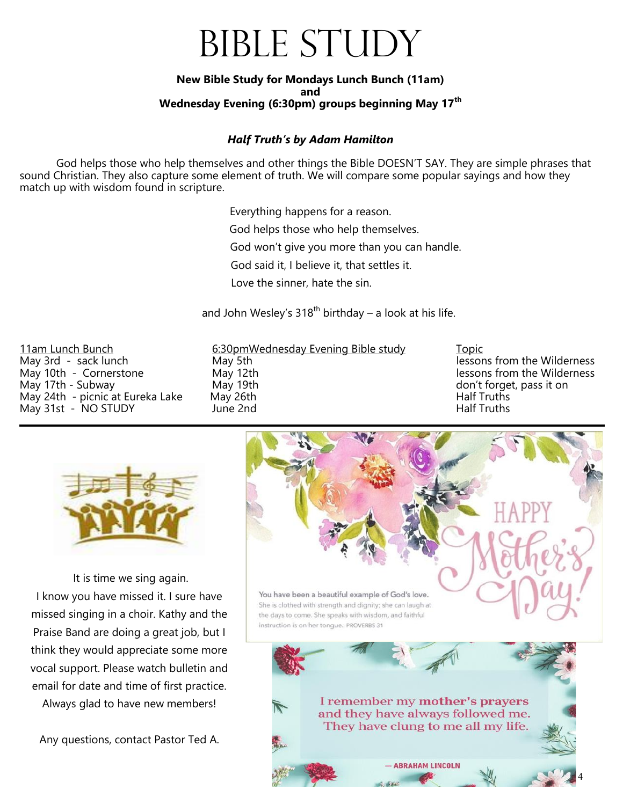## BIBLE STUDY

#### **New Bible Study for Mondays Lunch Bunch (11am) and Wednesday Evening (6:30pm) groups beginning May 17th**

#### *Half Truth's by Adam Hamilton*

God helps those who help themselves and other things the Bible DOESN'T SAY. They are simple phrases that sound Christian. They also capture some element of truth. We will compare some popular sayings and how they match up with wisdom found in scripture.

Everything happens for a reason.

God helps those who help themselves.

God won't give you more than you can handle.

God said it, I believe it, that settles it.

Love the sinner, hate the sin.

and John Wesley's  $318^{th}$  birthday – a look at his life.

May 31st - NO STUDY

11am Lunch Bunch 6:30pmWednesday Evening Bible study Topic May 3rd - sack lunch May 5th May 5th lessons from the Wilderness May 10th - Cornerstone **May 12th** and the Milderness May 12th lessons from the Wilderness May 17th - Subway May 19th don't forget, pass it on May 24th - picnic at Eureka Lake May 26th **Half Truths**<br>May 31st - NO STUDY **Half Truths** June 2nd



It is time we sing again. I know you have missed it. I sure have missed singing in a choir. Kathy and the Praise Band are doing a great job, but I think they would appreciate some more vocal support. Please watch bulletin and email for date and time of first practice.

Always glad to have new members!

Any questions, contact Pastor Ted A.

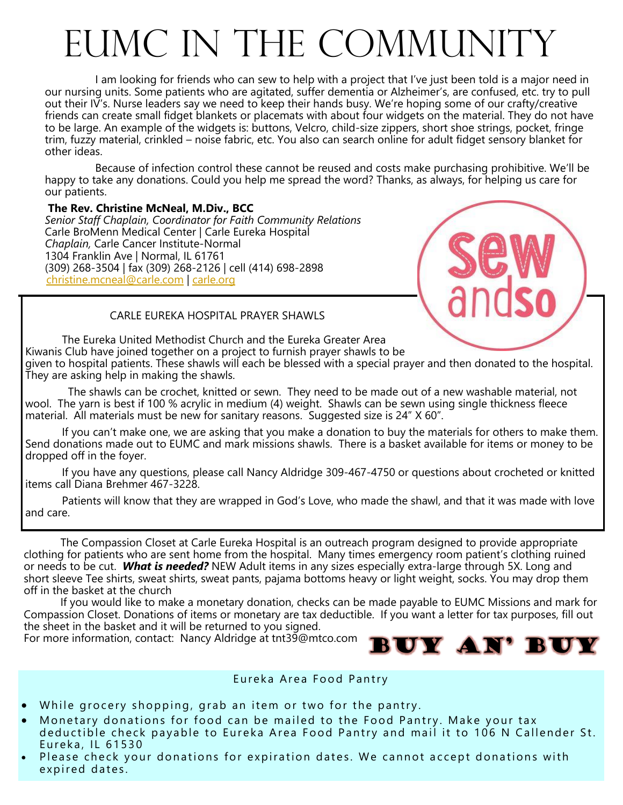# EUMC IN THE COMMUNITY

I am looking for friends who can sew to help with a project that I've just been told is a major need in our nursing units. Some patients who are agitated, suffer dementia or Alzheimer's, are confused, etc. try to pull out their IV's. Nurse leaders say we need to keep their hands busy. We're hoping some of our crafty/creative friends can create small fidget blankets or placemats with about four widgets on the material. They do not have to be large. An example of the widgets is: buttons, Velcro, child-size zippers, short shoe strings, pocket, fringe trim, fuzzy material, crinkled – noise fabric, etc. You also can search online for adult fidget sensory blanket for other ideas.

Because of infection control these cannot be reused and costs make purchasing prohibitive. We'll be happy to take any donations. Could you help me spread the word? Thanks, as always, for helping us care for our patients.

#### **The Rev. Christine McNeal, M.Div., BCC**

*Senior Staff Chaplain, Coordinator for Faith Community Relations* Carle BroMenn Medical Center | Carle Eureka Hospital *Chaplain,* Carle Cancer Institute-Normal 1304 Franklin Ave | Normal, IL 61761 (309) 268-3504 | fax (309) 268-2126 | cell (414) 698-2898 [christine.mcneal@carle.com](mailto:christine.mcneal@carle.com) | [carle.org](http://carle.org)



#### CARLE EUREKA HOSPITAL PRAYER SHAWLS

The Eureka United Methodist Church and the Eureka Greater Area Kiwanis Club have joined together on a project to furnish prayer shawls to be given to hospital patients. These shawls will each be blessed with a special prayer and then donated to the hospital. They are asking help in making the shawls.

 The shawls can be crochet, knitted or sewn. They need to be made out of a new washable material, not wool. The yarn is best if 100 % acrylic in medium (4) weight. Shawls can be sewn using single thickness fleece material. All materials must be new for sanitary reasons. Suggested size is 24" X 60".

If you can't make one, we are asking that you make a donation to buy the materials for others to make them. Send donations made out to EUMC and mark missions shawls. There is a basket available for items or money to be dropped off in the foyer.

If you have any questions, please call Nancy Aldridge 309-467-4750 or questions about crocheted or knitted items call Diana Brehmer 467-3228.

Patients will know that they are wrapped in God's Love, who made the shawl, and that it was made with love and care.

The Compassion Closet at Carle Eureka Hospital is an outreach program designed to provide appropriate clothing for patients who are sent home from the hospital. Many times emergency room patient's clothing ruined or needs to be cut. *What is needed?* NEW Adult items in any sizes especially extra-large through 5X. Long and short sleeve Tee shirts, sweat shirts, sweat pants, pajama bottoms heavy or light weight, socks. You may drop them off in the basket at the church

If you would like to make a monetary donation, checks can be made payable to EUMC Missions and mark for Compassion Closet. Donations of items or monetary are tax deductible. If you want a letter for tax purposes, fill out the sheet in the basket and it will be returned to you signed.

For more information, contact: Nancy Aldridge at tnt39@mtco.com



#### Eureka Area Food Pantry

- While grocery shopping, grab an item or two for the pantry.
- Monetary donations for food can be mailed to the Food Pantry. Make your tax deductible check payable to Eureka Area Food Pantry and mail it to 106 N Callender St. Eureka , IL 61530
- Please check your donations for expiration dates. We cannot accept donations with expired dates.